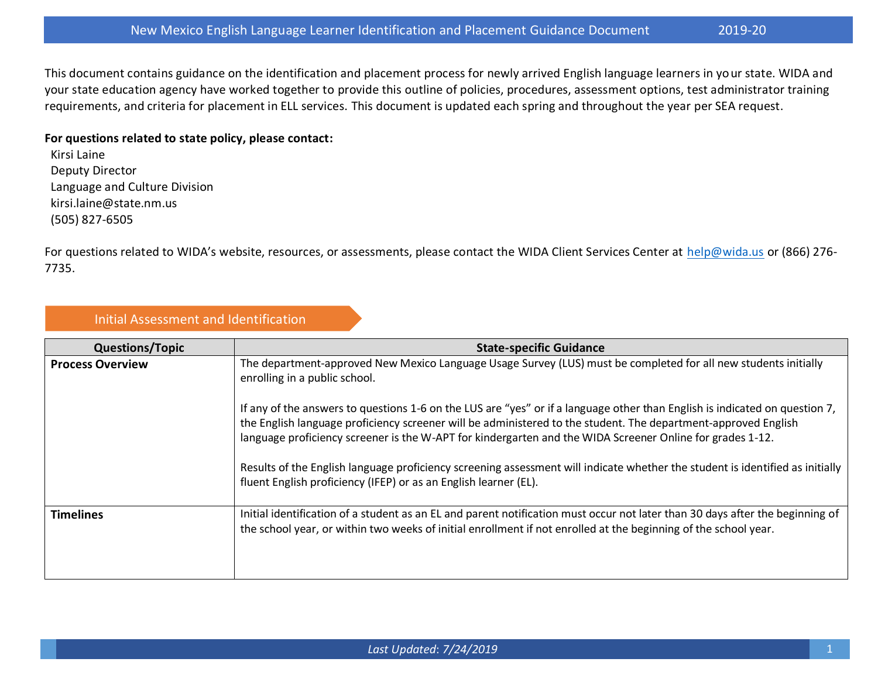This document contains guidance on the identification and placement process for newly arrived English language learners in your state. WIDA and your state education agency have worked together to provide this outline of policies, procedures, assessment options, test administrator training requirements, and criteria for placement in ELL services. This document is updated each spring and throughout the year per SEA request.

## **For questions related to state policy, please contact:**

Kirsi Laine Deputy Director Language and Culture Division kirsi.laine@state.nm.us (505) 827-6505

For questions related to WIDA's website, resources, or assessments, please contact the WIDA Client Services Center at [help@wida.us](mailto:help@wida.us) or (866) 276-7735.

## Initial Assessment and Identification

| <b>Questions/Topic</b>  | <b>State-specific Guidance</b>                                                                                                                                                                                                                                                                                                                                                                                                                                                                                                                                  |
|-------------------------|-----------------------------------------------------------------------------------------------------------------------------------------------------------------------------------------------------------------------------------------------------------------------------------------------------------------------------------------------------------------------------------------------------------------------------------------------------------------------------------------------------------------------------------------------------------------|
| <b>Process Overview</b> | The department-approved New Mexico Language Usage Survey (LUS) must be completed for all new students initially<br>enrolling in a public school.                                                                                                                                                                                                                                                                                                                                                                                                                |
|                         | If any of the answers to questions 1-6 on the LUS are "yes" or if a language other than English is indicated on question 7,<br>the English language proficiency screener will be administered to the student. The department-approved English<br>language proficiency screener is the W-APT for kindergarten and the WIDA Screener Online for grades 1-12.<br>Results of the English language proficiency screening assessment will indicate whether the student is identified as initially<br>fluent English proficiency (IFEP) or as an English learner (EL). |
| <b>Timelines</b>        | Initial identification of a student as an EL and parent notification must occur not later than 30 days after the beginning of<br>the school year, or within two weeks of initial enrollment if not enrolled at the beginning of the school year.                                                                                                                                                                                                                                                                                                                |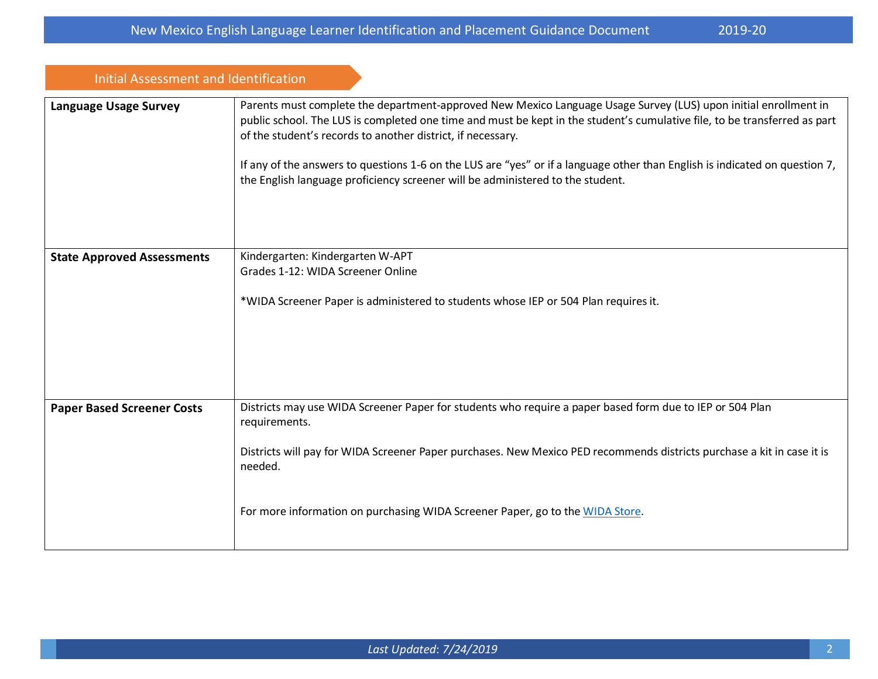| <b>Initial Assessment and Identification</b> |                                                                                                                                                                                                                                                                                                                                                                                                                                                                                                                              |
|----------------------------------------------|------------------------------------------------------------------------------------------------------------------------------------------------------------------------------------------------------------------------------------------------------------------------------------------------------------------------------------------------------------------------------------------------------------------------------------------------------------------------------------------------------------------------------|
| <b>Language Usage Survey</b>                 | Parents must complete the department-approved New Mexico Language Usage Survey (LUS) upon initial enrollment in<br>public school. The LUS is completed one time and must be kept in the student's cumulative file, to be transferred as part<br>of the student's records to another district, if necessary.<br>If any of the answers to questions 1-6 on the LUS are "yes" or if a language other than English is indicated on question 7,<br>the English language proficiency screener will be administered to the student. |
| <b>State Approved Assessments</b>            | Kindergarten: Kindergarten W-APT<br>Grades 1-12: WIDA Screener Online<br>*WIDA Screener Paper is administered to students whose IEP or 504 Plan requires it.                                                                                                                                                                                                                                                                                                                                                                 |
| <b>Paper Based Screener Costs</b>            | Districts may use WIDA Screener Paper for students who require a paper based form due to IEP or 504 Plan<br>requirements.<br>Districts will pay for WIDA Screener Paper purchases. New Mexico PED recommends districts purchase a kit in case it is<br>needed.<br>For more information on purchasing WIDA Screener Paper, go to the WIDA Store.                                                                                                                                                                              |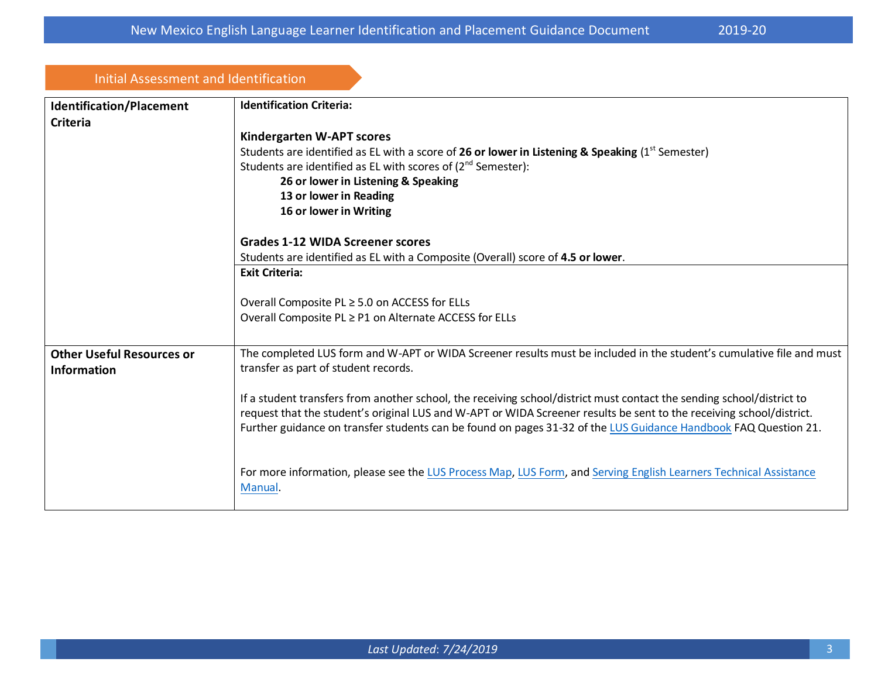| Initial Assessment and Identification                  |                                                                                                                                                                                                                                                                                                                                                                  |  |
|--------------------------------------------------------|------------------------------------------------------------------------------------------------------------------------------------------------------------------------------------------------------------------------------------------------------------------------------------------------------------------------------------------------------------------|--|
| <b>Identification/Placement</b><br><b>Criteria</b>     | <b>Identification Criteria:</b>                                                                                                                                                                                                                                                                                                                                  |  |
|                                                        | Kindergarten W-APT scores                                                                                                                                                                                                                                                                                                                                        |  |
|                                                        | Students are identified as EL with a score of 26 or lower in Listening & Speaking $(1^{st}$ Semester)<br>Students are identified as EL with scores of (2 <sup>nd</sup> Semester):                                                                                                                                                                                |  |
|                                                        | 26 or lower in Listening & Speaking                                                                                                                                                                                                                                                                                                                              |  |
|                                                        | 13 or lower in Reading                                                                                                                                                                                                                                                                                                                                           |  |
|                                                        | 16 or lower in Writing                                                                                                                                                                                                                                                                                                                                           |  |
|                                                        | <b>Grades 1-12 WIDA Screener scores</b>                                                                                                                                                                                                                                                                                                                          |  |
|                                                        | Students are identified as EL with a Composite (Overall) score of 4.5 or lower.                                                                                                                                                                                                                                                                                  |  |
|                                                        | <b>Exit Criteria:</b>                                                                                                                                                                                                                                                                                                                                            |  |
|                                                        | Overall Composite PL ≥ 5.0 on ACCESS for ELLs                                                                                                                                                                                                                                                                                                                    |  |
|                                                        | Overall Composite PL ≥ P1 on Alternate ACCESS for ELLs                                                                                                                                                                                                                                                                                                           |  |
| <b>Other Useful Resources or</b><br><b>Information</b> | The completed LUS form and W-APT or WIDA Screener results must be included in the student's cumulative file and must<br>transfer as part of student records.                                                                                                                                                                                                     |  |
|                                                        | If a student transfers from another school, the receiving school/district must contact the sending school/district to<br>request that the student's original LUS and W-APT or WIDA Screener results be sent to the receiving school/district.<br>Further guidance on transfer students can be found on pages 31-32 of the LUS Guidance Handbook FAQ Question 21. |  |
|                                                        | For more information, please see the LUS Process Map, LUS Form, and Serving English Learners Technical Assistance<br>Manual.                                                                                                                                                                                                                                     |  |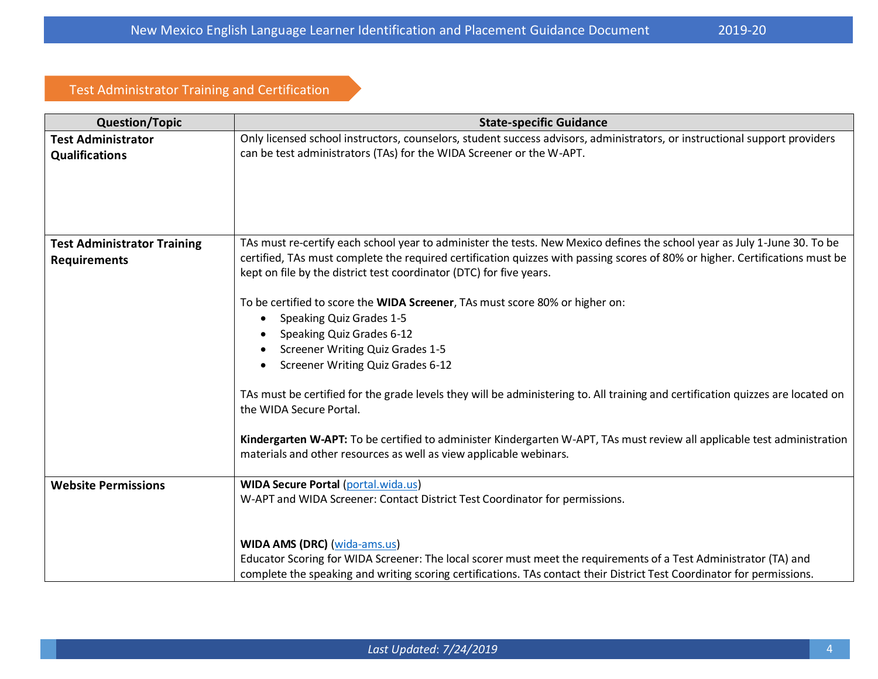## Test Administrator Training and Certification

| <b>Question/Topic</b>                                     | <b>State-specific Guidance</b>                                                                                                                                                                                                                                                                                                                                                                                                                                                                                                                                                               |
|-----------------------------------------------------------|----------------------------------------------------------------------------------------------------------------------------------------------------------------------------------------------------------------------------------------------------------------------------------------------------------------------------------------------------------------------------------------------------------------------------------------------------------------------------------------------------------------------------------------------------------------------------------------------|
| <b>Test Administrator</b><br><b>Qualifications</b>        | Only licensed school instructors, counselors, student success advisors, administrators, or instructional support providers<br>can be test administrators (TAs) for the WIDA Screener or the W-APT.                                                                                                                                                                                                                                                                                                                                                                                           |
| <b>Test Administrator Training</b><br><b>Requirements</b> | TAs must re-certify each school year to administer the tests. New Mexico defines the school year as July 1-June 30. To be<br>certified, TAs must complete the required certification quizzes with passing scores of 80% or higher. Certifications must be<br>kept on file by the district test coordinator (DTC) for five years.                                                                                                                                                                                                                                                             |
|                                                           | To be certified to score the WIDA Screener, TAs must score 80% or higher on:<br>Speaking Quiz Grades 1-5<br>Speaking Quiz Grades 6-12<br><b>Screener Writing Quiz Grades 1-5</b><br><b>Screener Writing Quiz Grades 6-12</b><br>TAs must be certified for the grade levels they will be administering to. All training and certification quizzes are located on<br>the WIDA Secure Portal.<br>Kindergarten W-APT: To be certified to administer Kindergarten W-APT, TAs must review all applicable test administration<br>materials and other resources as well as view applicable webinars. |
| <b>Website Permissions</b>                                | <b>WIDA Secure Portal (portal.wida.us)</b><br>W-APT and WIDA Screener: Contact District Test Coordinator for permissions.                                                                                                                                                                                                                                                                                                                                                                                                                                                                    |
|                                                           | <b>WIDA AMS (DRC) (wida-ams.us)</b><br>Educator Scoring for WIDA Screener: The local scorer must meet the requirements of a Test Administrator (TA) and<br>complete the speaking and writing scoring certifications. TAs contact their District Test Coordinator for permissions.                                                                                                                                                                                                                                                                                                            |